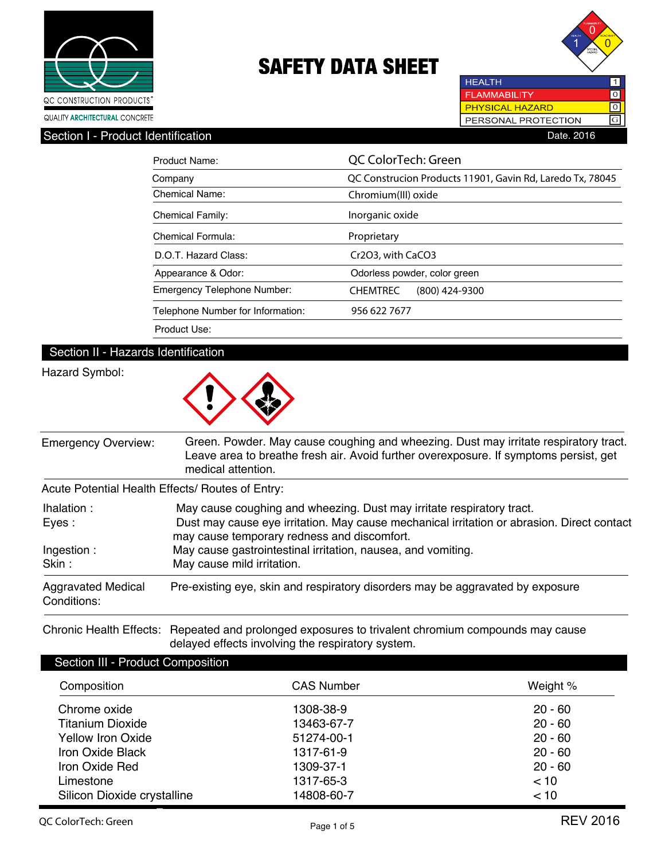



**HEALTH** 1 **FLAMMABILITY**  $\overline{\text{o}}$ **PHYSICAL HAZARD**  $\overline{\text{ol}}$ PERSONAL PROTECTION  $\boxed{G}$ Section I - Product Identification **Date.** 2016

| Product Name:                      | QC ColorTech: Green                                       |  |  |  |
|------------------------------------|-----------------------------------------------------------|--|--|--|
| Company                            | QC Construcion Products 11901, Gavin Rd, Laredo Tx, 78045 |  |  |  |
| <b>Chemical Name:</b>              | Chromium(III) oxide                                       |  |  |  |
| <b>Chemical Family:</b>            | Inorganic oxide                                           |  |  |  |
| Chemical Formula:                  | Proprietary                                               |  |  |  |
| D.O.T. Hazard Class:               | Cr2O3, with CaCO3                                         |  |  |  |
| Appearance & Odor:                 | Odorless powder, color green                              |  |  |  |
| <b>Emergency Telephone Number:</b> | <b>CHEMTREC</b><br>$(800)$ 424-9300                       |  |  |  |
| Telephone Number for Information:  | 956 622 7677                                              |  |  |  |
| Product Use:                       |                                                           |  |  |  |

### Section II - Hazards Identification

### Hazard Symbol:



| <b>Emergency Overview:</b>               | Green. Powder. May cause coughing and wheezing. Dust may irritate respiratory tract.<br>Leave area to breathe fresh air. Avoid further overexposure. If symptoms persist, get<br>medical attention. |  |  |
|------------------------------------------|-----------------------------------------------------------------------------------------------------------------------------------------------------------------------------------------------------|--|--|
|                                          | Acute Potential Health Effects/ Routes of Entry:                                                                                                                                                    |  |  |
| lhalation:                               | May cause coughing and wheezing. Dust may irritate respiratory tract.                                                                                                                               |  |  |
| Eyes:                                    | Dust may cause eye irritation. May cause mechanical irritation or abrasion. Direct contact<br>may cause temporary redness and discomfort.                                                           |  |  |
| Ingestion:                               | May cause gastrointestinal irritation, nausea, and vomiting.                                                                                                                                        |  |  |
| Skin:                                    | May cause mild irritation.                                                                                                                                                                          |  |  |
| <b>Aggravated Medical</b><br>Conditions: | Pre-existing eye, skin and respiratory disorders may be aggravated by exposure                                                                                                                      |  |  |

Chronic Health Effects: Repeated and prolonged exposures to trivalent chromium compounds may cause delayed effects involving the respiratory system.

### Section III - Product Composition

| Composition                 | <b>CAS Number</b> | Weight %  |
|-----------------------------|-------------------|-----------|
| Chrome oxide                | 1308-38-9         | $20 - 60$ |
| <b>Titanium Dioxide</b>     | 13463-67-7        | $20 - 60$ |
| <b>Yellow Iron Oxide</b>    | 51274-00-1        | $20 - 60$ |
| Iron Oxide Black            | 1317-61-9         | $20 - 60$ |
| Iron Oxide Red              | 1309-37-1         | $20 - 60$ |
| Limestone                   | 1317-65-3         | < 10      |
| Silicon Dioxide crystalline | 14808-60-7        | < 10      |
|                             |                   |           |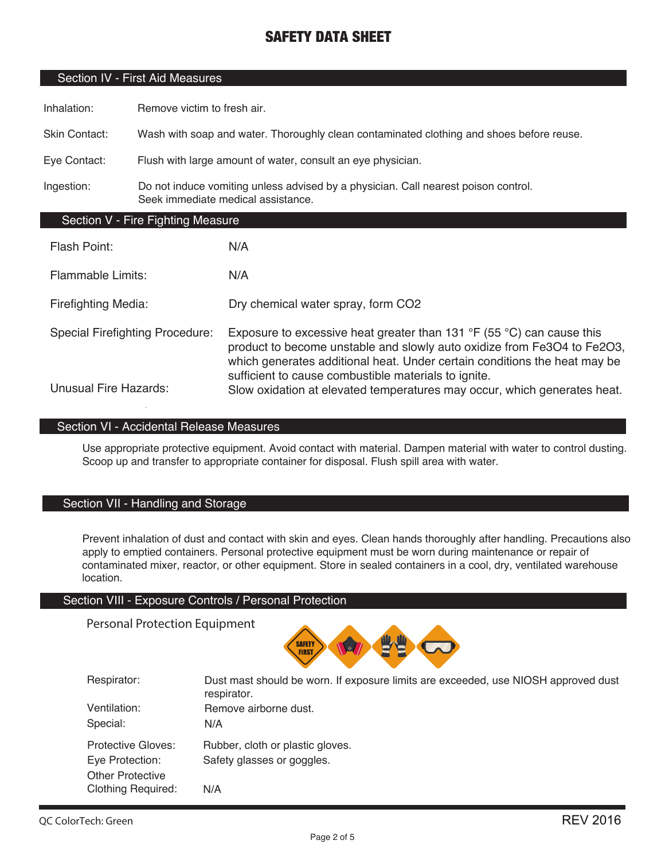### Section IV - First Aid Measures

Inhalation: Remove victim to fresh air.

Skin Contact: Wash with soap and water. Thoroughly clean contaminated clothing and shoes before reuse.

Eye Contact: Flush with large amount of water, consult an eye physician.

Ingestion: Do not induce vomiting unless advised by a physician. Call nearest poison control. Seek immediate medical assistance.

### Section V - Fire Fighting Measure

| Flash Point:                           | N/A                                                                                                                                                                                                                                                                                                     |
|----------------------------------------|---------------------------------------------------------------------------------------------------------------------------------------------------------------------------------------------------------------------------------------------------------------------------------------------------------|
| <b>Flammable Limits:</b>               | N/A                                                                                                                                                                                                                                                                                                     |
| <b>Firefighting Media:</b>             | Dry chemical water spray, form CO2                                                                                                                                                                                                                                                                      |
| <b>Special Firefighting Procedure:</b> | Exposure to excessive heat greater than 131 $\degree$ F (55 $\degree$ C) can cause this<br>product to become unstable and slowly auto oxidize from Fe3O4 to Fe2O3,<br>which generates additional heat. Under certain conditions the heat may be<br>sufficient to cause combustible materials to ignite. |
| <b>Unusual Fire Hazards:</b>           | Slow oxidation at elevated temperatures may occur, which generates heat.                                                                                                                                                                                                                                |

### Section VI - Accidental Release Measures

Use appropriate protective equipment. Avoid contact with material. Dampen material with water to control dusting. Scoop up and transfer to appropriate container for disposal. Flush spill area with water.

### Section VII - Handling and Storage

Prevent inhalation of dust and contact with skin and eyes. Clean hands thoroughly after handling. Precautions also apply to emptied containers. Personal protective equipment must be worn during maintenance or repair of contaminated mixer, reactor, or other equipment. Store in sealed containers in a cool, dry, ventilated warehouse location.

#### Section VIII - Exposure Controls / Personal Protection

Personal Protection Equipment



| Respirator:<br>Ventilation:                          | Dust mast should be worn. If exposure limits are exceeded, use NIOSH approved dust<br>respirator.<br>Remove airborne dust. |
|------------------------------------------------------|----------------------------------------------------------------------------------------------------------------------------|
|                                                      |                                                                                                                            |
| Special:                                             | N/A                                                                                                                        |
| Protective Gloves:<br>Eye Protection:                | Rubber, cloth or plastic gloves.<br>Safety glasses or goggles.                                                             |
| <b>Other Protective</b><br><b>Clothing Required:</b> | N/A                                                                                                                        |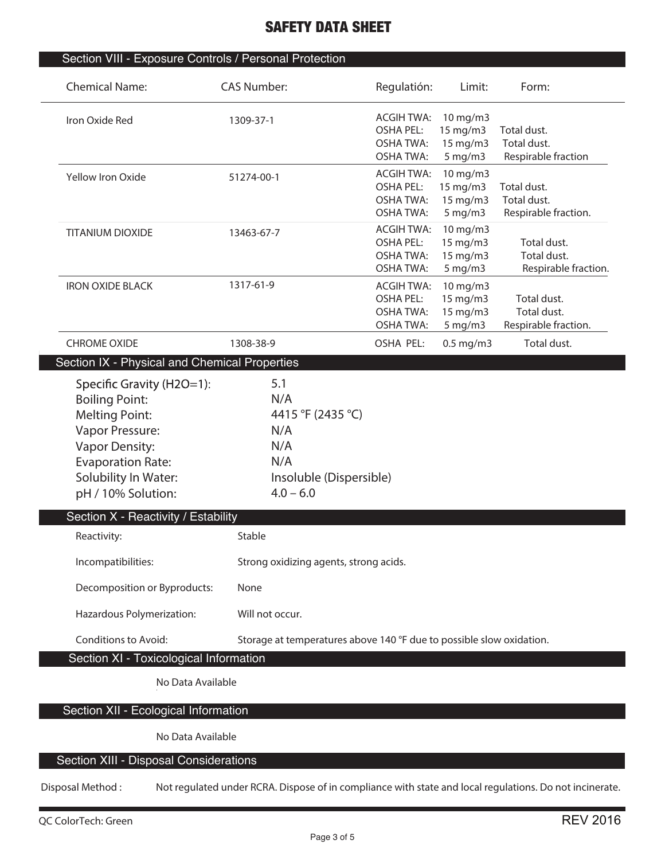| <b>Chemical Name:</b>                                                                                                                                                                             | <b>CAS Number:</b>                                                                      | Regulatión:                                                                   | Limit:                                                  | Form:                                              |
|---------------------------------------------------------------------------------------------------------------------------------------------------------------------------------------------------|-----------------------------------------------------------------------------------------|-------------------------------------------------------------------------------|---------------------------------------------------------|----------------------------------------------------|
| Iron Oxide Red                                                                                                                                                                                    | 1309-37-1                                                                               | <b>ACGIH TWA:</b><br><b>OSHA PEL:</b><br><b>OSHA TWA:</b><br><b>OSHA TWA:</b> | 10 mg/m3<br>15 mg/m3<br>15 mg/m3<br>$5$ mg/m $3$        | Total dust.<br>Total dust.<br>Respirable fraction  |
| Yellow Iron Oxide                                                                                                                                                                                 | 51274-00-1                                                                              | <b>ACGIH TWA:</b><br><b>OSHA PEL:</b><br><b>OSHA TWA:</b><br><b>OSHA TWA:</b> | 10 mg/m3<br>15 mg/m3<br>15 mg/m3<br>$5 \,\mathrm{mg/m}$ | Total dust.<br>Total dust.<br>Respirable fraction. |
| <b>TITANIUM DIOXIDE</b>                                                                                                                                                                           | 13463-67-7                                                                              | <b>ACGIH TWA:</b><br><b>OSHA PEL:</b><br><b>OSHA TWA:</b><br><b>OSHA TWA:</b> | 10 mg/m3<br>15 mg/m3<br>15 mg/m3<br>$5 \,\mathrm{mg/m}$ | Total dust.<br>Total dust.<br>Respirable fraction. |
| <b>IRON OXIDE BLACK</b>                                                                                                                                                                           | 1317-61-9                                                                               | <b>ACGIH TWA:</b><br><b>OSHA PEL:</b><br><b>OSHA TWA:</b><br><b>OSHA TWA:</b> | 10 mg/m3<br>15 mg/m3<br>15 mg/m3<br>$5$ mg/m $3$        | Total dust.<br>Total dust.<br>Respirable fraction. |
| <b>CHROME OXIDE</b>                                                                                                                                                                               | 1308-38-9                                                                               | OSHA PEL:                                                                     | $0.5$ mg/m $3$                                          | Total dust.                                        |
| Section IX - Physical and Chemical Properties                                                                                                                                                     |                                                                                         |                                                                               |                                                         |                                                    |
| Specific Gravity (H2O=1):<br><b>Boiling Point:</b><br><b>Melting Point:</b><br>Vapor Pressure:<br><b>Vapor Density:</b><br><b>Evaporation Rate:</b><br>Solubility In Water:<br>pH / 10% Solution: | N/A<br>4415 °F (2435 °C)<br>N/A<br>N/A<br>N/A<br>Insoluble (Dispersible)<br>$4.0 - 6.0$ |                                                                               |                                                         |                                                    |
| Section X - Reactivity / Estability                                                                                                                                                               |                                                                                         |                                                                               |                                                         |                                                    |
| Reactivity:                                                                                                                                                                                       | Stable                                                                                  |                                                                               |                                                         |                                                    |
| Incompatibilities:                                                                                                                                                                                | Strong oxidizing agents, strong acids.                                                  |                                                                               |                                                         |                                                    |
| Decomposition or Byproducts:                                                                                                                                                                      | None                                                                                    |                                                                               |                                                         |                                                    |
| Hazardous Polymerization:                                                                                                                                                                         | Will not occur.                                                                         |                                                                               |                                                         |                                                    |
| <b>Conditions to Avoid:</b>                                                                                                                                                                       | Storage at temperatures above 140 °F due to possible slow oxidation.                    |                                                                               |                                                         |                                                    |
| Section XI - Toxicological Information                                                                                                                                                            |                                                                                         |                                                                               |                                                         |                                                    |
| No Data Available                                                                                                                                                                                 |                                                                                         |                                                                               |                                                         |                                                    |
| Section XII - Ecological Information                                                                                                                                                              |                                                                                         |                                                                               |                                                         |                                                    |
| No Data Available                                                                                                                                                                                 |                                                                                         |                                                                               |                                                         |                                                    |
|                                                                                                                                                                                                   |                                                                                         |                                                                               |                                                         |                                                    |
| Section XIII - Disposal Considerations                                                                                                                                                            |                                                                                         |                                                                               |                                                         |                                                    |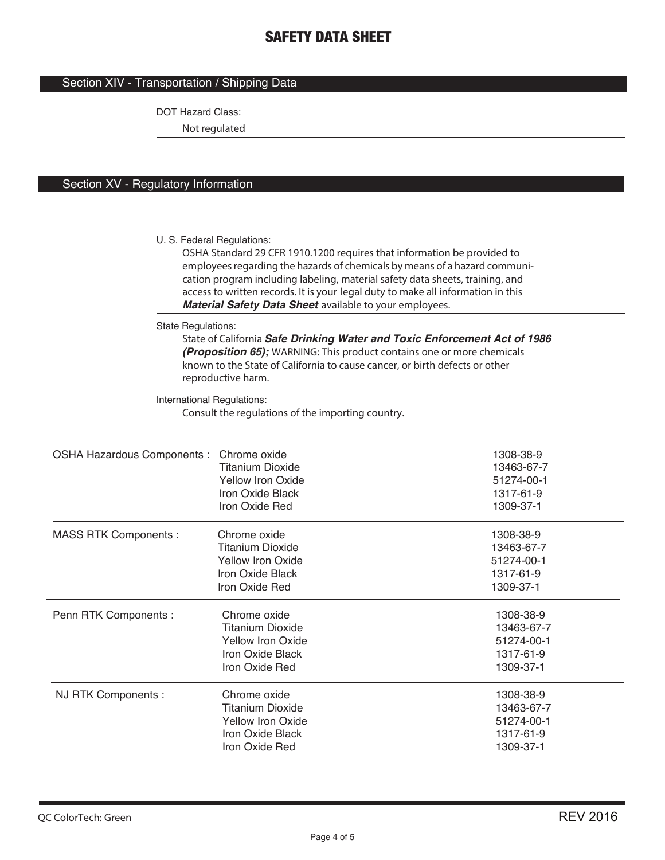### Section XIV - Transportation / Shipping Data

DOT Hazard Class:

**Not regulated**

### Section XV - Regulatory Information

U. S. Federal Regulations:

**OSHA Standard 29 CFR 1910.1200 requires that information be provided to employees regarding the hazards of chemicals by means of a hazard communication program including labeling, material safety data sheets, training, and access to written records. It is your legal duty to make all information in this**  *Material Safety Data Sheet* **available to your employees.**

State Regulations:

**State of California** *Safe Drinking Water and Toxic Enforcement Act of 1986 (Proposition 65);* **WARNING: This product contains one or more chemicals known to the State of California to cause cancer, or birth defects or other reproductive harm.**

International Regulations:

**Consult the regulations of the importing country.**

| OSHA Hazardous Components : Chrome oxide |                          | 1308-38-9  |
|------------------------------------------|--------------------------|------------|
|                                          | <b>Titanium Dioxide</b>  | 13463-67-7 |
|                                          | <b>Yellow Iron Oxide</b> | 51274-00-1 |
|                                          | Iron Oxide Black         | 1317-61-9  |
|                                          | Iron Oxide Red           | 1309-37-1  |
| <b>MASS RTK Components:</b>              | Chrome oxide             | 1308-38-9  |
|                                          | <b>Titanium Dioxide</b>  | 13463-67-7 |
|                                          | <b>Yellow Iron Oxide</b> | 51274-00-1 |
|                                          | Iron Oxide Black         | 1317-61-9  |
|                                          | Iron Oxide Red           | 1309-37-1  |
| Penn RTK Components :                    | Chrome oxide             | 1308-38-9  |
|                                          | <b>Titanium Dioxide</b>  | 13463-67-7 |
|                                          | <b>Yellow Iron Oxide</b> | 51274-00-1 |
|                                          | Iron Oxide Black         | 1317-61-9  |
|                                          | Iron Oxide Red           | 1309-37-1  |
| NJ RTK Components :                      | Chrome oxide             | 1308-38-9  |
|                                          | <b>Titanium Dioxide</b>  | 13463-67-7 |
|                                          | <b>Yellow Iron Oxide</b> | 51274-00-1 |
|                                          | Iron Oxide Black         | 1317-61-9  |
|                                          | Iron Oxide Red           | 1309-37-1  |
|                                          |                          |            |